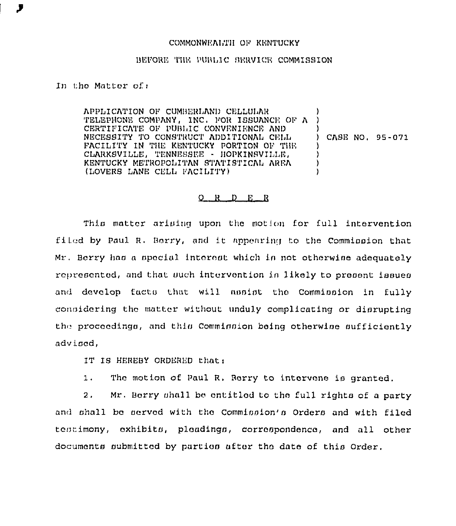## COMMONWEALTH OF KENTUCKY

## BEFORE THE PUBLIC SERVICE COMMISSION

## In the Matter of:

APPLICATION OF CUMBERLAND CELLULAR TELEPHONE COMPANY, INC. FOR ISSUANCE OF A CERTIFICATE OF PUBLIC CONVENIENCE AND NECESSITY TO CONSTRUCT ADDITIONAL CELL CASE NO. 95-071 FACILITY IN THE KENTUCKY PORTION OF THE CLARKSVILLE, TENNESSEE - HOPKINSVILLE,  $\lambda$ KENTUCKY METROPOLITAN STATISTICAL AREA  $\lambda$ (LOVERS LANE CELL FACILITY) ۱,

## $Q$  R  $D$  E R

This matter arising upon the motion for full intervention filed by Paul R. Borry, and it appearing to the Comminaton that Mr. Berry has a special interest which is not otherwise adequately represented, and that such intervention in likely to present issues and develop facts that will assist the Commission in fully considering the matter without unduly complicating or disrupting the proceedings, and this Commission being otherwise sufficiently advised,

IT IS HEREBY ORDERED that:

The motion of Paul R. Berry to intervene is granted.  $1.$ 

Mr. Berry shall be entitled to the full rights of a party  $2.$ and shall be served with the Commission's Orders and with filed testimony, exhibits, pleadings, correspondence, and all other documents submitted by partios after the date of this Order.